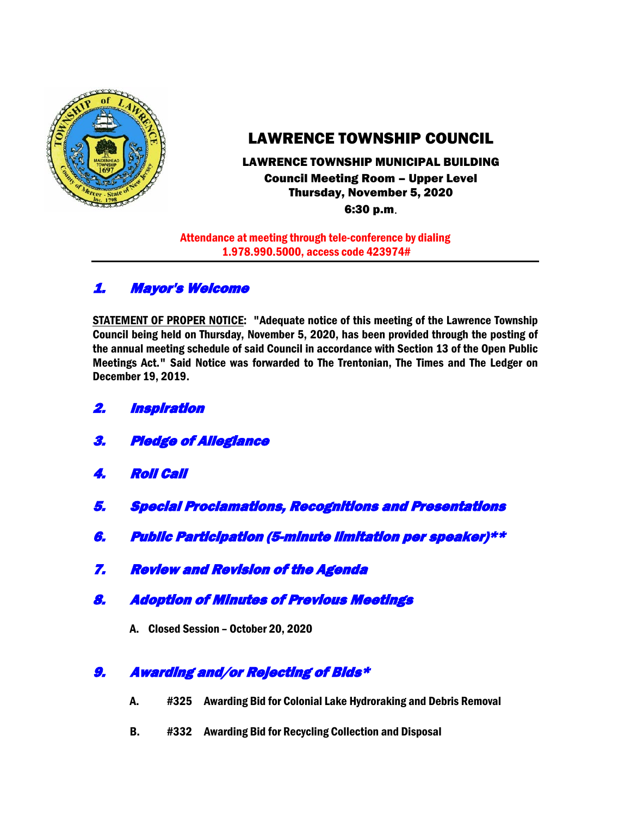

# LAWRENCE TOWNSHIP COUNCIL

# LAWRENCE TOWNSHIP MUNICIPAL BUILDING Council Meeting Room – Upper Level Thursday, November 5, 2020

6:30 p.m.

Attendance at meeting through tele-conference by dialing 1.978.990.5000, access code 423974#

## 1. Mayor's Welcome

STATEMENT OF PROPER NOTICE: "Adequate notice of this meeting of the Lawrence Township Council being held on Thursday, November 5, 2020, has been provided through the posting of the annual meeting schedule of said Council in accordance with Section 13 of the Open Public Meetings Act." Said Notice was forwarded to The Trentonian, The Times and The Ledger on December 19, 2019.

- 2. Inspiration
- 3. Pledge of Allegiance
- 4. Roll Call
- 5. Special Proclamations, Recognitions and Presentations
- 6. Public Participation (5-minute limitation per speaker)\*\*
- 7. Review and Revision of the Agenda
- 8. Adoption of Minutes of Previous Meetings
	- A. Closed Session October 20, 2020

## 9. Awarding and/or Rejecting of Bids\*

- A. #325 Awarding Bid for Colonial Lake Hydroraking and Debris Removal
- B. #332 Awarding Bid for Recycling Collection and Disposal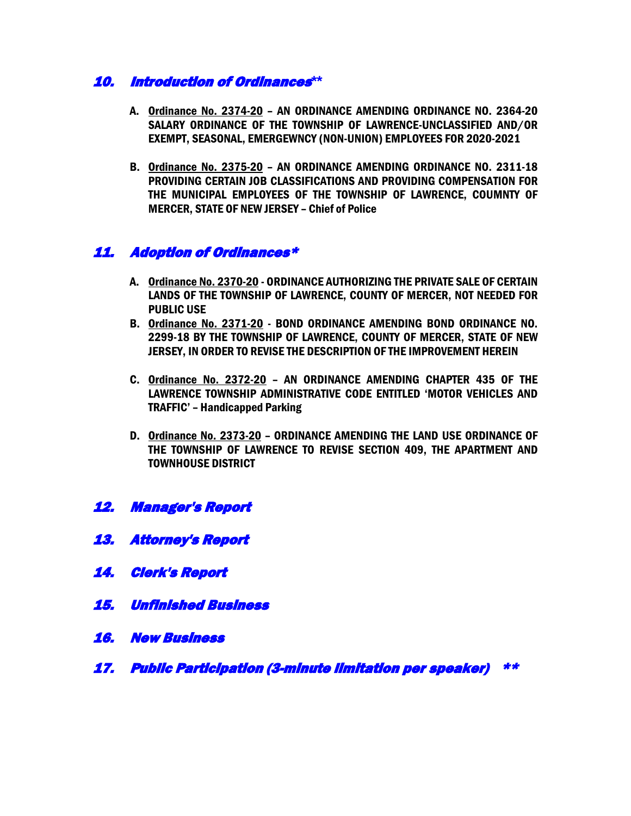## 10. Introduction of Ordinances**\*\***

- A. Ordinance No. 2374-20 AN ORDINANCE AMENDING ORDINANCE NO. 2364-20 SALARY ORDINANCE OF THE TOWNSHIP OF LAWRENCE-UNCLASSIFIED AND/OR EXEMPT, SEASONAL, EMERGEWNCY (NON-UNION) EMPLOYEES FOR 2020-2021
- B. Ordinance No. 2375-20 AN ORDINANCE AMENDING ORDINANCE NO. 2311-18 PROVIDING CERTAIN JOB CLASSIFICATIONS AND PROVIDING COMPENSATION FOR THE MUNICIPAL EMPLOYEES OF THE TOWNSHIP OF LAWRENCE, COUMNTY OF MERCER, STATE OF NEW JERSEY – Chief of Police

## 11. Adoption of Ordinances\*

- A. Ordinance No. 2370-20 ORDINANCE AUTHORIZING THE PRIVATE SALE OF CERTAIN LANDS OF THE TOWNSHIP OF LAWRENCE, COUNTY OF MERCER, NOT NEEDED FOR PUBLIC USE
- B. Ordinance No. 2371-20 BOND ORDINANCE AMENDING BOND ORDINANCE NO. 2299-18 BY THE TOWNSHIP OF LAWRENCE, COUNTY OF MERCER, STATE OF NEW JERSEY, IN ORDER TO REVISE THE DESCRIPTION OF THE IMPROVEMENT HEREIN
- C. Ordinance No. 2372-20 AN ORDINANCE AMENDING CHAPTER 435 OF THE LAWRENCE TOWNSHIP ADMINISTRATIVE CODE ENTITLED 'MOTOR VEHICLES AND TRAFFIC' – Handicapped Parking
- D. Ordinance No. 2373-20 ORDINANCE AMENDING THE LAND USE ORDINANCE OF THE TOWNSHIP OF LAWRENCE TO REVISE SECTION 409, THE APARTMENT AND TOWNHOUSE DISTRICT
- 12. Manager's Report
- 13. Attorney's Report
- 14. Clerk's Report
- 15. Unfinished Business
- 16. New Business
- 17. Public Participation (3-minute limitation per speaker) \*\*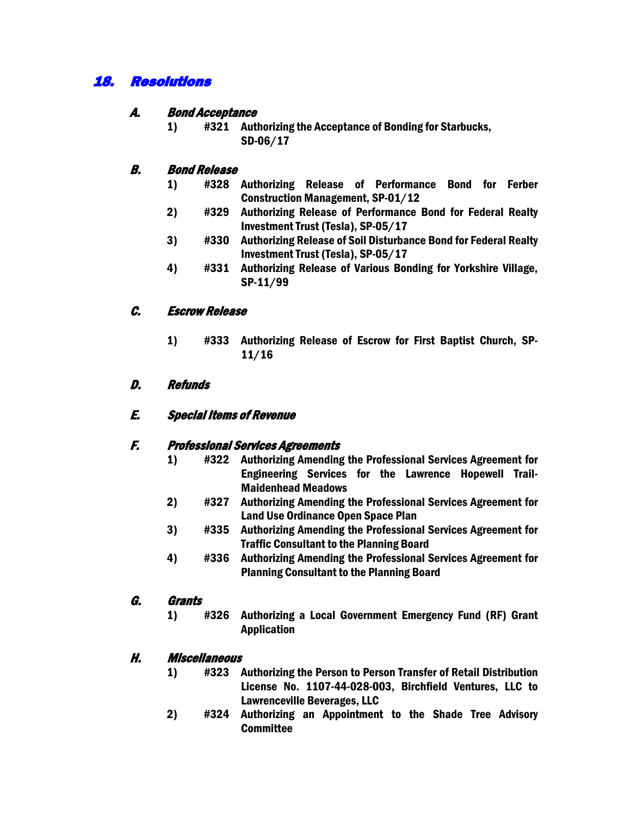## 18. Resolutions

### A. Bond Acceptance

1) #321 Authorizing the Acceptance of Bonding for Starbucks, SD-06/17

## B. Bond Release

- 1) #328 Authorizing Release of Performance Bond for Ferber Construction Management, SP-01/12
- 2) #329 Authorizing Release of Performance Bond for Federal Realty Investment Trust (Tesla), SP-05/17
- 3) #330 Authorizing Release of Soil Disturbance Bond for Federal Realty Investment Trust (Tesla), SP-05/17
- 4) #331 Authorizing Release of Various Bonding for Yorkshire Village, SP-11/99

## C. Escrow Release

1) #333 Authorizing Release of Escrow for First Baptist Church, SP-11/16

## D. Refunds

### E. Special Items of Revenue

### F. Professional Services Agreements

- 1) #322 Authorizing Amending the Professional Services Agreement for Engineering Services for the Lawrence Hopewell Trail-Maidenhead Meadows
- 2) #327 Authorizing Amending the Professional Services Agreement for Land Use Ordinance Open Space Plan
- 3) #335 Authorizing Amending the Professional Services Agreement for Traffic Consultant to the Planning Board
- 4) #336 Authorizing Amending the Professional Services Agreement for Planning Consultant to the Planning Board

### G. Grants

1) #326 Authorizing a Local Government Emergency Fund (RF) Grant Application

### H. Miscellaneous

- 1) #323 Authorizing the Person to Person Transfer of Retail Distribution License No. 1107-44-028-003, Birchfield Ventures, LLC to Lawrenceville Beverages, LLC
- 2) #324 Authorizing an Appointment to the Shade Tree Advisory **Committee**